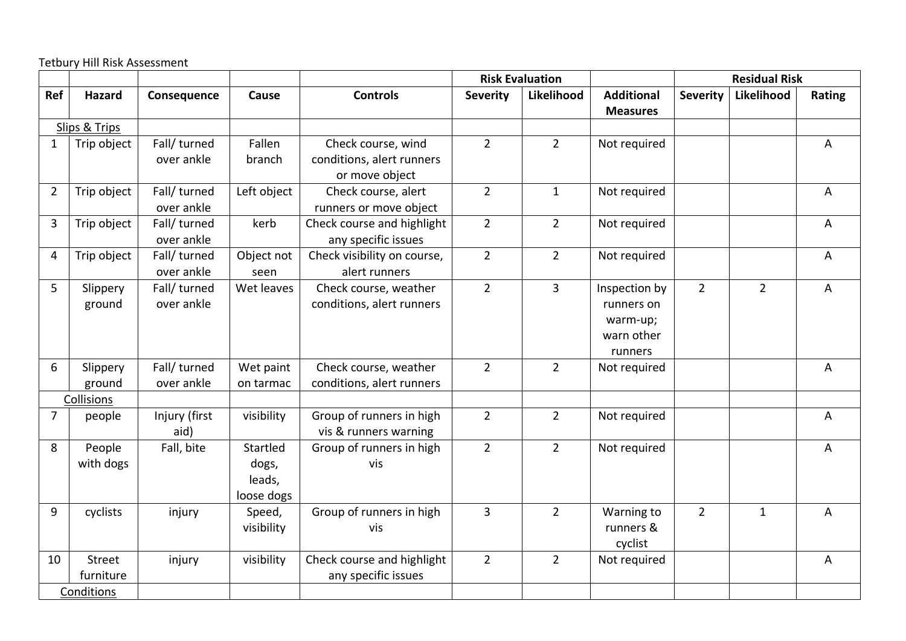Tetbury Hill Risk Assessment

|                |                            |                            |                                           |                                                                   |                 | <b>Risk Evaluation</b> |                                                                  |                 | <b>Residual Risk</b> |                |
|----------------|----------------------------|----------------------------|-------------------------------------------|-------------------------------------------------------------------|-----------------|------------------------|------------------------------------------------------------------|-----------------|----------------------|----------------|
| Ref            | <b>Hazard</b>              | Consequence                | Cause                                     | <b>Controls</b>                                                   | <b>Severity</b> | Likelihood             | <b>Additional</b><br><b>Measures</b>                             | <b>Severity</b> | Likelihood           | Rating         |
|                | Slips & Trips              |                            |                                           |                                                                   |                 |                        |                                                                  |                 |                      |                |
| $\mathbf 1$    | Trip object                | Fall/ turned<br>over ankle | Fallen<br>branch                          | Check course, wind<br>conditions, alert runners<br>or move object | $\overline{2}$  | $\overline{2}$         | Not required                                                     |                 |                      | A              |
| $\overline{2}$ | Trip object                | Fall/ turned<br>over ankle | Left object                               | Check course, alert<br>runners or move object                     | $\overline{2}$  | $\mathbf{1}$           | Not required                                                     |                 |                      | A              |
| 3              | Trip object                | Fall/ turned<br>over ankle | kerb                                      | Check course and highlight<br>any specific issues                 | $\overline{2}$  | $\overline{2}$         | Not required                                                     |                 |                      | A              |
| 4              | Trip object                | Fall/ turned<br>over ankle | Object not<br>seen                        | Check visibility on course,<br>alert runners                      | $\overline{2}$  | $\overline{2}$         | Not required                                                     |                 |                      | A              |
| 5              | Slippery<br>ground         | Fall/ turned<br>over ankle | Wet leaves                                | Check course, weather<br>conditions, alert runners                | $\overline{2}$  | $\overline{3}$         | Inspection by<br>runners on<br>warm-up;<br>warn other<br>runners | $2^{\circ}$     | $\overline{2}$       | $\overline{A}$ |
| 6              | Slippery<br>ground         | Fall/ turned<br>over ankle | Wet paint<br>on tarmac                    | Check course, weather<br>conditions, alert runners                | $\overline{2}$  | $2^{\circ}$            | Not required                                                     |                 |                      | A              |
|                | Collisions                 |                            |                                           |                                                                   |                 |                        |                                                                  |                 |                      |                |
| $\overline{7}$ | people                     | Injury (first<br>aid)      | visibility                                | Group of runners in high<br>vis & runners warning                 | $\overline{2}$  | $2^{\circ}$            | Not required                                                     |                 |                      | A              |
| 8              | People<br>with dogs        | Fall, bite                 | Startled<br>dogs,<br>leads,<br>loose dogs | Group of runners in high<br>vis                                   | $\overline{2}$  | $\overline{2}$         | Not required                                                     |                 |                      | A              |
| 9              | cyclists                   | injury                     | Speed,<br>visibility                      | Group of runners in high<br>vis                                   | 3               | $\overline{2}$         | Warning to<br>runners &<br>cyclist                               | $\overline{2}$  | $\mathbf{1}$         | A              |
| 10             | <b>Street</b><br>furniture | injury                     | visibility                                | Check course and highlight<br>any specific issues                 | $\overline{2}$  | $\overline{2}$         | Not required                                                     |                 |                      | A              |
|                | Conditions                 |                            |                                           |                                                                   |                 |                        |                                                                  |                 |                      |                |